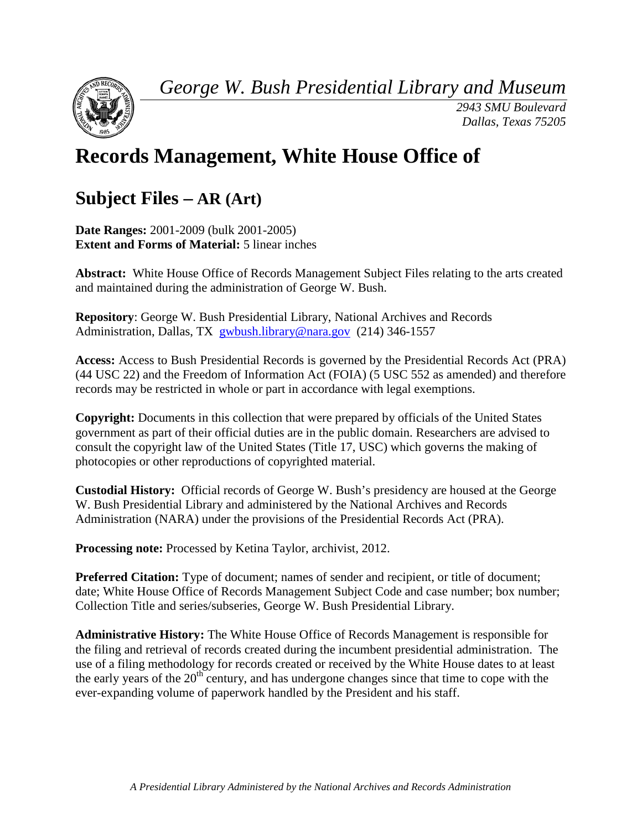*George W. Bush Presidential Library and Museum*



*2943 SMU Boulevard Dallas, Texas 75205*

# **Records Management, White House Office of**

## **Subject Files – AR (Art)**

**Date Ranges:** 2001-2009 (bulk 2001-2005) **Extent and Forms of Material:** 5 linear inches

**Abstract:** White House Office of Records Management Subject Files relating to the arts created and maintained during the administration of George W. Bush.

**Repository**: George W. Bush Presidential Library, National Archives and Records Administration, Dallas, TX [gwbush.library@nara.gov](mailto:gwbush.library@nara.gov) (214) 346-1557

**Access:** Access to Bush Presidential Records is governed by the Presidential Records Act (PRA) (44 USC 22) and the Freedom of Information Act (FOIA) (5 USC 552 as amended) and therefore records may be restricted in whole or part in accordance with legal exemptions.

**Copyright:** Documents in this collection that were prepared by officials of the United States government as part of their official duties are in the public domain. Researchers are advised to consult the copyright law of the United States (Title 17, USC) which governs the making of photocopies or other reproductions of copyrighted material.

**Custodial History:** Official records of George W. Bush's presidency are housed at the George W. Bush Presidential Library and administered by the National Archives and Records Administration (NARA) under the provisions of the Presidential Records Act (PRA).

**Processing note:** Processed by Ketina Taylor, archivist, 2012.

**Preferred Citation:** Type of document; names of sender and recipient, or title of document; date; White House Office of Records Management Subject Code and case number; box number; Collection Title and series/subseries, George W. Bush Presidential Library.

**Administrative History:** The White House Office of Records Management is responsible for the filing and retrieval of records created during the incumbent presidential administration. The use of a filing methodology for records created or received by the White House dates to at least the early years of the  $20<sup>th</sup>$  century, and has undergone changes since that time to cope with the ever-expanding volume of paperwork handled by the President and his staff.